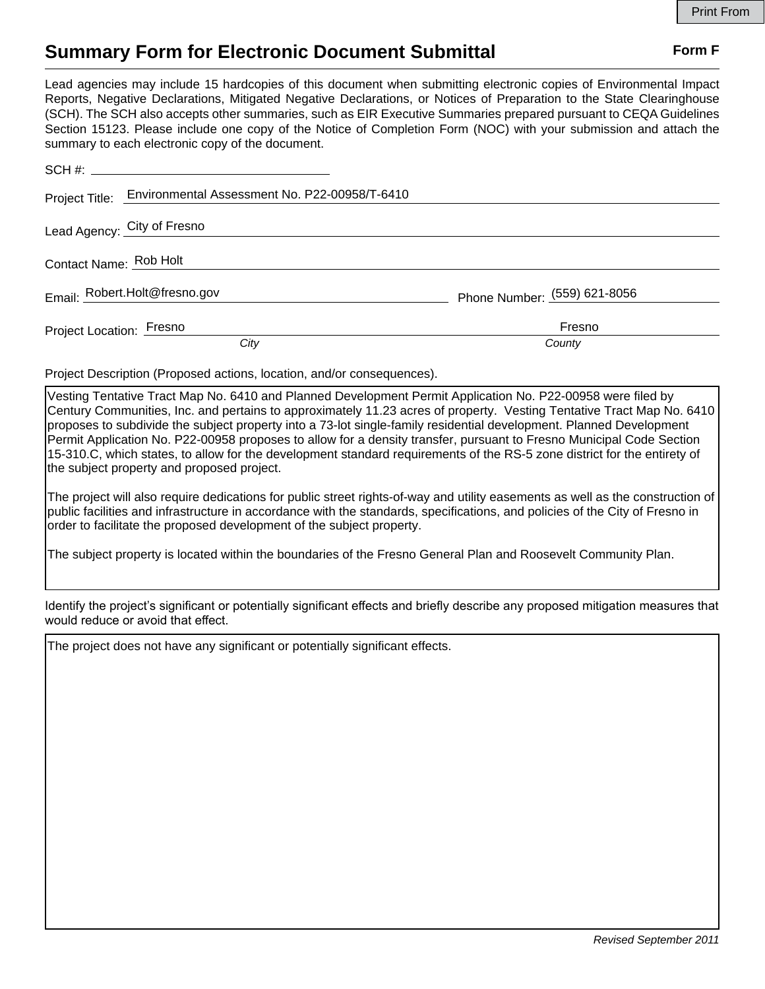## **Summary Form for Electronic Document Submittal Form F Form F**

Lead agencies may include 15 hardcopies of this document when submitting electronic copies of Environmental Impact Reports, Negative Declarations, Mitigated Negative Declarations, or Notices of Preparation to the State Clearinghouse (SCH). The SCH also accepts other summaries, such as EIR Executive Summaries prepared pursuant to CEQA Guidelines Section 15123. Please include one copy of the Notice of Completion Form (NOC) with your submission and attach the summary to each electronic copy of the document.

|                          | Project Title: Environmental Assessment No. P22-00958/T-6410 |                              |
|--------------------------|--------------------------------------------------------------|------------------------------|
|                          | Lead Agency: City of Fresno                                  |                              |
| Contact Name: Rob Holt   |                                                              |                              |
|                          | Email: Robert.Holt@fresno.gov                                | Phone Number: (559) 621-8056 |
| Project Location: Fresno | City                                                         | Fresno<br>County             |

Project Description (Proposed actions, location, and/or consequences).

Vesting Tentative Tract Map No. 6410 and Planned Development Permit Application No. P22-00958 were filed by Century Communities, Inc. and pertains to approximately 11.23 acres of property. Vesting Tentative Tract Map No. 6410 proposes to subdivide the subject property into a 73-lot single-family residential development. Planned Development Permit Application No. P22-00958 proposes to allow for a density transfer, pursuant to Fresno Municipal Code Section 15-310.C, which states, to allow for the development standard requirements of the RS-5 zone district for the entirety of the subject property and proposed project.

The project will also require dedications for public street rights-of-way and utility easements as well as the construction of public facilities and infrastructure in accordance with the standards, specifications, and policies of the City of Fresno in order to facilitate the proposed development of the subject property.

The subject property is located within the boundaries of the Fresno General Plan and Roosevelt Community Plan.

Identify the project's significant or potentially significant effects and briefly describe any proposed mitigation measures that would reduce or avoid that effect.

The project does not have any significant or potentially significant effects.